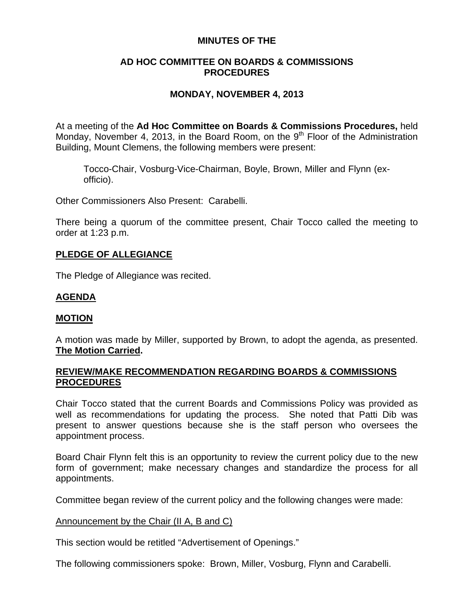# **MINUTES OF THE**

# **AD HOC COMMITTEE ON BOARDS & COMMISSIONS PROCEDURES**

# **MONDAY, NOVEMBER 4, 2013**

At a meeting of the **Ad Hoc Committee on Boards & Commissions Procedures,** held Monday, November 4, 2013, in the Board Room, on the 9<sup>th</sup> Floor of the Administration Building, Mount Clemens, the following members were present:

Tocco-Chair, Vosburg-Vice-Chairman, Boyle, Brown, Miller and Flynn (exofficio).

Other Commissioners Also Present: Carabelli.

There being a quorum of the committee present, Chair Tocco called the meeting to order at 1:23 p.m.

## **PLEDGE OF ALLEGIANCE**

The Pledge of Allegiance was recited.

## **AGENDA**

### **MOTION**

A motion was made by Miller, supported by Brown, to adopt the agenda, as presented. **The Motion Carried.** 

### **REVIEW/MAKE RECOMMENDATION REGARDING BOARDS & COMMISSIONS PROCEDURES**

Chair Tocco stated that the current Boards and Commissions Policy was provided as well as recommendations for updating the process. She noted that Patti Dib was present to answer questions because she is the staff person who oversees the appointment process.

Board Chair Flynn felt this is an opportunity to review the current policy due to the new form of government; make necessary changes and standardize the process for all appointments.

Committee began review of the current policy and the following changes were made:

### Announcement by the Chair (II A, B and C)

This section would be retitled "Advertisement of Openings."

The following commissioners spoke: Brown, Miller, Vosburg, Flynn and Carabelli.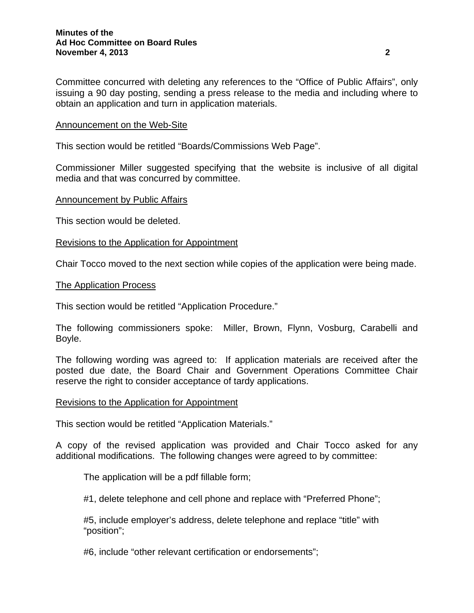Committee concurred with deleting any references to the "Office of Public Affairs", only issuing a 90 day posting, sending a press release to the media and including where to obtain an application and turn in application materials.

### Announcement on the Web-Site

This section would be retitled "Boards/Commissions Web Page".

Commissioner Miller suggested specifying that the website is inclusive of all digital media and that was concurred by committee.

#### **Announcement by Public Affairs**

This section would be deleted.

#### Revisions to the Application for Appointment

Chair Tocco moved to the next section while copies of the application were being made.

#### The Application Process

This section would be retitled "Application Procedure."

The following commissioners spoke: Miller, Brown, Flynn, Vosburg, Carabelli and Boyle.

The following wording was agreed to: If application materials are received after the posted due date, the Board Chair and Government Operations Committee Chair reserve the right to consider acceptance of tardy applications.

#### Revisions to the Application for Appointment

This section would be retitled "Application Materials."

A copy of the revised application was provided and Chair Tocco asked for any additional modifications. The following changes were agreed to by committee:

The application will be a pdf fillable form;

#1, delete telephone and cell phone and replace with "Preferred Phone";

#5, include employer's address, delete telephone and replace "title" with "position";

#6, include "other relevant certification or endorsements";